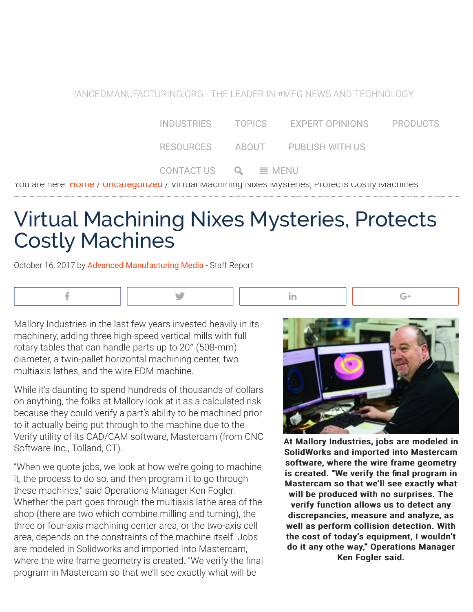[ADV](http://advancedmanufacturing.org/)ANCEDMANUFACTURING.ORG - THE LEADER IN #MFG NEWS AND TECHNOLOGY

| INDUSTRIES TOPICS |                            | EXPERT OPINIONS                 | <b>PRODUCTS</b> |
|-------------------|----------------------------|---------------------------------|-----------------|
|                   |                            | RESOURCES ABOUT PUBLISH WITH US |                 |
|                   | CONTACT US $Q \equiv MENU$ |                                 |                 |

You are here: **[Home](http://advancedmanufacturing.org/) / [Uncategorized](http://advancedmanufacturing.org/category/uncategorized/) /** Virtual Machining Nixes Mysteries, Protects Costly Machines

## Virtual Machining Nixes Mysteries, Protects Costly Machines

October 16, 2017 by [Advanced Manufacturing Media](http://advancedmanufacturing.org/writer/advanced-manufacturing-media/) - Staff Report



Mallory Industries in the last few years invested heavily in its machinery, adding three high-speed vertical mills with full rotary tables that can handle parts up to 20″ (508-mm) diameter, a twin-pallet horizontal machining center, two multiaxis lathes, and the wire EDM machine.

While it's daunting to spend hundreds of thousands of dollars on anything, the folks at Mallory look at it as a calculated risk because they could verify a part's ability to be machined prior to it actually being put through to the machine due to the Verify utility of its CAD/CAM software, Mastercam (from CNC Software Inc., Tolland, CT).

"When we quote jobs, we look at how we're going to machine it, the process to do so, and then program it to go through these machines," said Operations Manager Ken Fogler. Whether the part goes through the multiaxis lathe area of the shop (there are two which combine milling and turning), the three or four-axis machining center area, or the two-axis cell area, depends on the constraints of the machine itself. Jobs are modeled in Solidworks and imported into Mastercam, where the wire frame geometry is created. "We verify the final program in Mastercam so that we'll see exactly what will be



At Mallory Industries, jobs are modeled in SolidWorks and imported into Mastercam software, where the wire frame geometry is created. "We verify the final program in Mastercam so that we'll see exactly what will be produced with no surprises. The verify function allows us to detect any discrepancies, measure and analyze, as well as perform collision detection. With the cost of today's equipment, I wouldn't do it any othe way," Operations Manager Ken Fogler said.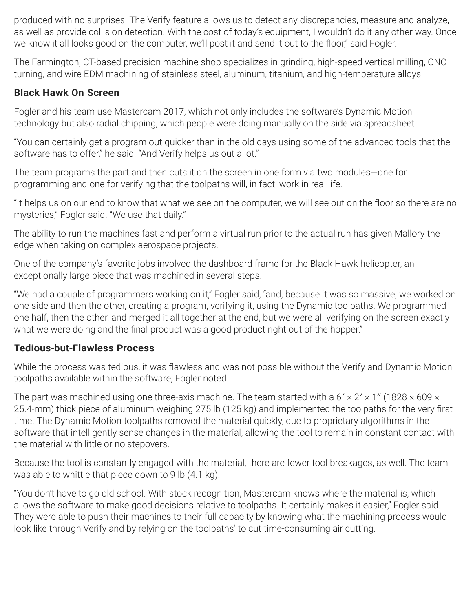produced with no surprises. The Verify feature allows us to detect any discrepancies, measure and analyze, as well as provide collision detection. With the cost of today's equipment, I wouldn't do it any other way. Once we know it all looks good on the computer, we'll post it and send it out to the floor," said Fogler.

The Farmington, CT-based precision machine shop specializes in grinding, high-speed vertical milling, CNC turning, and wire EDM machining of stainless steel, aluminum, titanium, and high-temperature alloys.

#### **Black Hawk On-Screen**

Fogler and his team use Mastercam 2017, which not only includes the software's Dynamic Motion technology but also radial chipping, which people were doing manually on the side via spreadsheet.

"You can certainly get a program out quicker than in the old days using some of the advanced tools that the software has to offer," he said. "And Verify helps us out a lot."

The team programs the part and then cuts it on the screen in one form via two modules—one for programming and one for verifying that the toolpaths will, in fact, work in real life.

"It helps us on our end to know that what we see on the computer, we will see out on the floor so there are no mysteries," Fogler said. "We use that daily."

The ability to run the machines fast and perform a virtual run prior to the actual run has given Mallory the edge when taking on complex aerospace projects.

One of the company's favorite jobs involved the dashboard frame for the Black Hawk helicopter, an exceptionally large piece that was machined in several steps.

"We had a couple of programmers working on it," Fogler said, "and, because it was so massive, we worked on one side and then the other, creating a program, verifying it, using the Dynamic toolpaths. We programmed one half, then the other, and merged it all together at the end, but we were all verifying on the screen exactly what we were doing and the final product was a good product right out of the hopper."

#### **Tedious-but-Flawless Process**

While the process was tedious, it was flawless and was not possible without the Verify and Dynamic Motion toolpaths available within the software, Fogler noted.

The part was machined using one three-axis machine. The team started with a  $6' \times 2' \times 1''$  (1828  $\times$  609  $\times$ 25.4-mm) thick piece of aluminum weighing 275 lb (125 kg) and implemented the toolpaths for the very first time. The Dynamic Motion toolpaths removed the material quickly, due to proprietary algorithms in the software that intelligently sense changes in the material, allowing the tool to remain in constant contact with the material with little or no stepovers.

Because the tool is constantly engaged with the material, there are fewer tool breakages, as well. The team was able to whittle that piece down to 9 lb (4.1 kg).

"You don't have to go old school. With stock recognition, Mastercam knows where the material is, which allows the software to make good decisions relative to toolpaths. It certainly makes it easier," Fogler said. They were able to push their machines to their full capacity by knowing what the machining process would look like through Verify and by relying on the toolpaths' to cut time-consuming air cutting.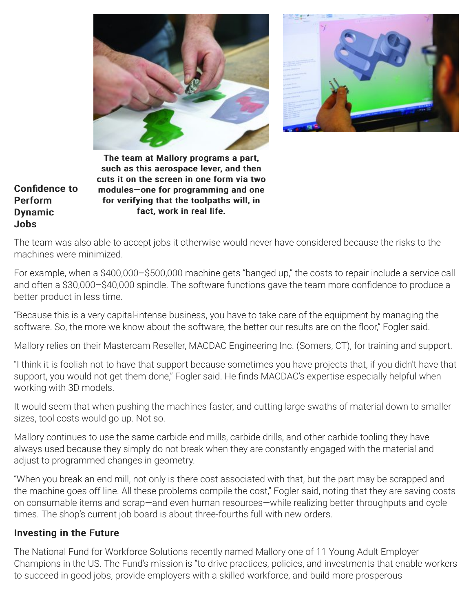



The team at Mallory programs a part, such as this aerospace lever, and then cuts it on the screen in one form via two modules-one for programming and one for verifying that the toolpaths will, in fact, work in real life.

Confidence to Perform **Dynamic** Jobs

The team was also able to accept jobs it otherwise would never have considered because the risks to the machines were minimized.

For example, when a \$400,000–\$500,000 machine gets "banged up," the costs to repair include a service call and often a \$30,000-\$40,000 spindle. The software functions gave the team more confidence to produce a better product in less time.

"Because this is a very capital-intense business, you have to take care of the equipment by managing the software. So, the more we know about the software, the better our results are on the floor," Fogler said.

Mallory relies on their Mastercam Reseller, MACDAC Engineering Inc. (Somers, CT), for training and support.

"I think it is foolish not to have that support because sometimes you have projects that, if you didn't have that support, you would not get them done," Fogler said. He finds MACDAC's expertise especially helpful when working with 3D models.

It would seem that when pushing the machines faster, and cutting large swaths of material down to smaller sizes, tool costs would go up. Not so.

Mallory continues to use the same carbide end mills, carbide drills, and other carbide tooling they have always used because they simply do not break when they are constantly engaged with the material and adjust to programmed changes in geometry.

"When you break an end mill, not only is there cost associated with that, but the part may be scrapped and the machine goes off line. All these problems compile the cost," Fogler said, noting that they are saving costs on consumable items and scrap—and even human resources—while realizing better throughputs and cycle times. The shop's current job board is about three-fourths full with new orders.

#### Investing in the Future

The National Fund for Workforce Solutions recently named Mallory one of 11 Young Adult Employer Champions in the US. The Fund's mission is "to drive practices, policies, and investments that enable workers to succeed in good jobs, provide employers with a skilled workforce, and build more prosperous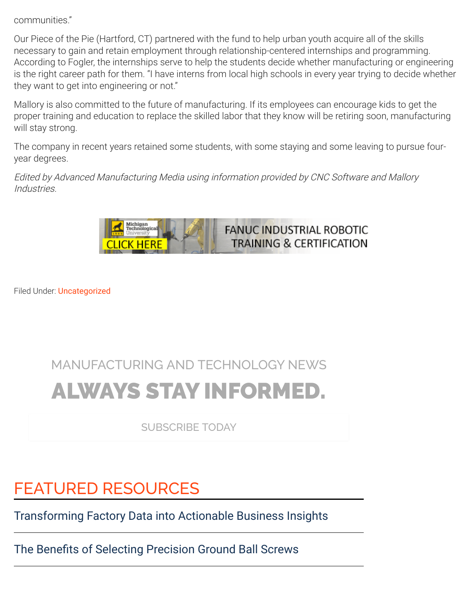communities."

Our Piece of the Pie (Hartford, CT) partnered with the fund to help urban youth acquire all of the skills necessary to gain and retain employment through relationship-centered internships and programming. According to Fogler, the internships serve to help the students decide whether manufacturing or engineering is the right career path for them. "I have interns from local high schools in every year trying to decide whether they want to get into engineering or not."

Mallory is also committed to the future of manufacturing. If its employees can encourage kids to get the proper training and education to replace the skilled labor that they know will be retiring soon, manufacturing will stay strong.

The company in recent years retained some students, with some staying and some leaving to pursue fouryear degrees.

Edited by Advanced Manufacturing Media using information provided by CNC Software and Mallory Industries.



Filed Under: [Uncategorized](http://advancedmanufacturing.org/category/uncategorized/)

# MANUFACTURING AND TECHNOLOGY NEWS ALWAYS STAY INFORMED.

SUBSCRIBE TODAY

## FEATURED RESOURCES

[Transforming Factory Data into Actionable Business Insights](http://sme.advancedmanufacturing.org/r/BSQ/d/contentFocus?pcID=c7a9b60d5d47213039addc9f9e42f8a4&utm_source=RC_Module)

The Benefits of Selecting Precision Ground Ball Screws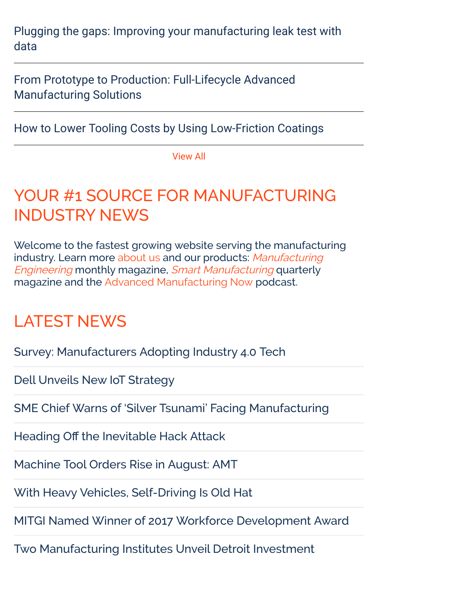[Plugging the gaps: Improving your manufacturing leak test with](http://sme.advancedmanufacturing.org/r/SCI/d/contentFocus?pcID=bd0b3839061f8cbc705b5e6f0573e8db&utm_source=RC_Module) data

[From Prototype to Production: Full-Lifecycle Advanced](http://sme.advancedmanufacturing.org/r/3DS/d/contentFocus?pcID=0d87eb2ee2bdd758753f39c5ffcf969f&utm_source=RC_Module) Manufacturing Solutions

[How to Lower Tooling Costs by Using Low-Friction Coatings](http://sme.advancedmanufacturing.org/r/COLE/d/contentFocus?pcID=4afb3eefdcb31c72c1024fc3e0ff44c9&utm_source=RC_Module)

[View All](http://sme.advancedmanufacturing.org/r/AMM/d/resources)

#### YOUR #1 SOURCE FOR MANUFACTURING INDUSTRY NEWS

Welcome to the fastest growing website serving the manufacturing [industry. Learn more](http://advancedmanufacturing.org/series/manufacturing-engineering-magazine/) [about us](http://advancedmanufacturing.org/about/) and our products: Manufacturing Engineering monthly magazine, [Smart Manufacturing](http://advancedmanufacturing.org/series/smart-manufacturing-magazine/) quarterly magazine and the [Advanced Manufacturing Now](http://advancedmanufacturingnow.com/) podcast.

### LATEST NEWS

[Survey: Manufacturers Adopting Industry 4.0 Tech](http://advancedmanufacturing.org/survey-manufacturers-adopting-industry-4-0-tech/)

[Dell Unveils New IoT Strategy](http://advancedmanufacturing.org/dell-unveils-new-iot-strategy/)

[SME Chief Warns of 'Silver Tsunami' Facing Manufacturing](http://advancedmanufacturing.org/sme-chief-warns-silver-tsunami-facing-manufacturing/)

Heading Off [the Inevitable Hack Attack](http://advancedmanufacturing.org/heading-off-inevitable-hack-attack/)

[Machine Tool Orders Rise in August: AMT](http://advancedmanufacturing.org/machine-tool-orders-rise-august/)

[With Heavy Vehicles, Self-Driving Is Old Hat](http://advancedmanufacturing.org/heavy-vehicles-self-driving-old-hat/)

[MITGI Named Winner of 2017 Workforce Development Award](http://advancedmanufacturing.org/mitgi-named-winner-2017-workforce-development-award/)

[Two Manufacturing Institutes Unveil Detroit Investment](http://advancedmanufacturing.org/two-manufacturing-institutes-unveil-detroit-investment/)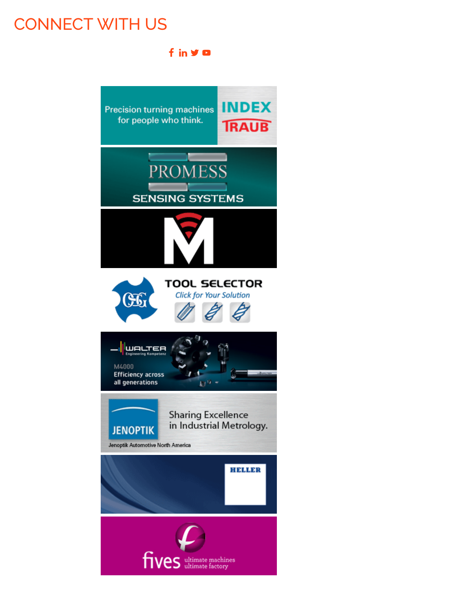### CONNECT WITH US

f in y o